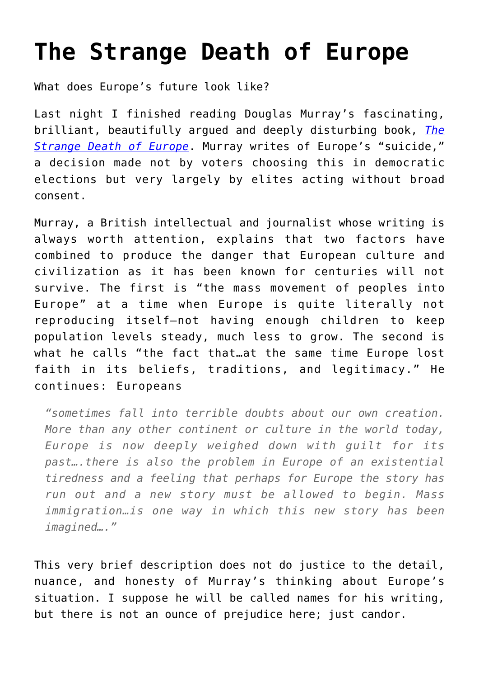## **[The Strange Death of Europe](https://intellectualtakeout.org/2017/07/the-strange-death-of-europe/)**

What does Europe's future look like?

Last night I finished reading Douglas Murray's fascinating, brilliant, beautifully argued and deeply disturbing book, *[The](https://www.amazon.com/Strange-Death-Liberal-Europe/dp/1472942248) [Strange Death of Europe](https://www.amazon.com/Strange-Death-Liberal-Europe/dp/1472942248)*. Murray writes of Europe's "suicide," a decision made not by voters choosing this in democratic elections but very largely by elites acting without broad consent.

Murray, a British intellectual and journalist whose writing is always worth attention, explains that two factors have combined to produce the danger that European culture and civilization as it has been known for centuries will not survive. The first is "the mass movement of peoples into Europe" at a time when Europe is quite literally not reproducing itself—not having enough children to keep population levels steady, much less to grow. The second is what he calls "the fact that…at the same time Europe lost faith in its beliefs, traditions, and legitimacy." He continues: Europeans

*"sometimes fall into terrible doubts about our own creation. More than any other continent or culture in the world today, Europe is now deeply weighed down with guilt for its past….there is also the problem in Europe of an existential tiredness and a feeling that perhaps for Europe the story has run out and a new story must be allowed to begin. Mass immigration…is one way in which this new story has been imagined…."*

This very brief description does not do justice to the detail, nuance, and honesty of Murray's thinking about Europe's situation. I suppose he will be called names for his writing, but there is not an ounce of prejudice here; just candor.